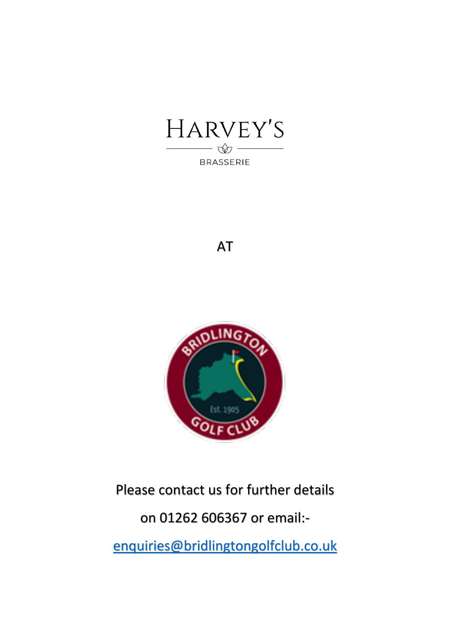

# AT



# Please contact us for further details on 01262 606367 or email: [enquiries@bridlingtongolfclub.co.uk](mailto:enquiries@bridlingtongolfclub.co.uk)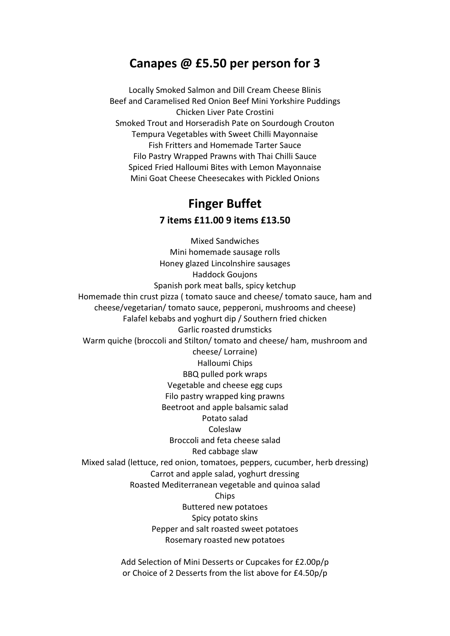# **Canapes @ £5.50 per person for 3**

Locally Smoked Salmon and Dill Cream Cheese Blinis Beef and Caramelised Red Onion Beef Mini Yorkshire Puddings Chicken Liver Pate Crostini Smoked Trout and Horseradish Pate on Sourdough Crouton Tempura Vegetables with Sweet Chilli Mayonnaise Fish Fritters and Homemade Tarter Sauce Filo Pastry Wrapped Prawns with Thai Chilli Sauce Spiced Fried Halloumi Bites with Lemon Mayonnaise Mini Goat Cheese Cheesecakes with Pickled Onions

# **Finger Buffet**

**7 items £11.00 9 items £13.50**

Mixed Sandwiches Mini homemade sausage rolls Honey glazed Lincolnshire sausages Haddock Goujons Spanish pork meat balls, spicy ketchup Homemade thin crust pizza ( tomato sauce and cheese/ tomato sauce, ham and cheese/vegetarian/ tomato sauce, pepperoni, mushrooms and cheese) Falafel kebabs and yoghurt dip / Southern fried chicken Garlic roasted drumsticks Warm quiche (broccoli and Stilton/ tomato and cheese/ ham, mushroom and cheese/ Lorraine) Halloumi Chips BBQ pulled pork wraps Vegetable and cheese egg cups Filo pastry wrapped king prawns Beetroot and apple balsamic salad Potato salad Coleslaw Broccoli and feta cheese salad Red cabbage slaw Mixed salad (lettuce, red onion, tomatoes, peppers, cucumber, herb dressing) Carrot and apple salad, yoghurt dressing Roasted Mediterranean vegetable and quinoa salad **Chips** Buttered new potatoes Spicy potato skins Pepper and salt roasted sweet potatoes Rosemary roasted new potatoes

> Add Selection of Mini Desserts or Cupcakes for £2.00p/p or Choice of 2 Desserts from the list above for £4.50p/p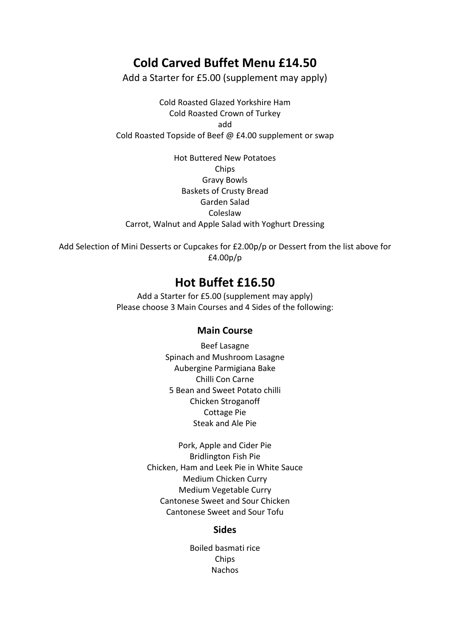# **Cold Carved Buffet Menu £14.50**

Add a Starter for £5.00 (supplement may apply)

Cold Roasted Glazed Yorkshire Ham Cold Roasted Crown of Turkey add Cold Roasted Topside of Beef @ £4.00 supplement or swap

Hot Buttered New Potatoes Chips Gravy Bowls Baskets of Crusty Bread Garden Salad Coleslaw Carrot, Walnut and Apple Salad with Yoghurt Dressing

Add Selection of Mini Desserts or Cupcakes for £2.00p/p or Dessert from the list above for £4.00p/p

# **Hot Buffet £16.50**

Add a Starter for £5.00 (supplement may apply) Please choose 3 Main Courses and 4 Sides of the following:

#### **Main Course**

Beef Lasagne Spinach and Mushroom Lasagne Aubergine Parmigiana Bake Chilli Con Carne 5 Bean and Sweet Potato chilli Chicken Stroganoff Cottage Pie Steak and Ale Pie

Pork, Apple and Cider Pie Bridlington Fish Pie Chicken, Ham and Leek Pie in White Sauce Medium Chicken Curry Medium Vegetable Curry Cantonese Sweet and Sour Chicken Cantonese Sweet and Sour Tofu

#### **Sides**

Boiled basmati rice Chips **Nachos**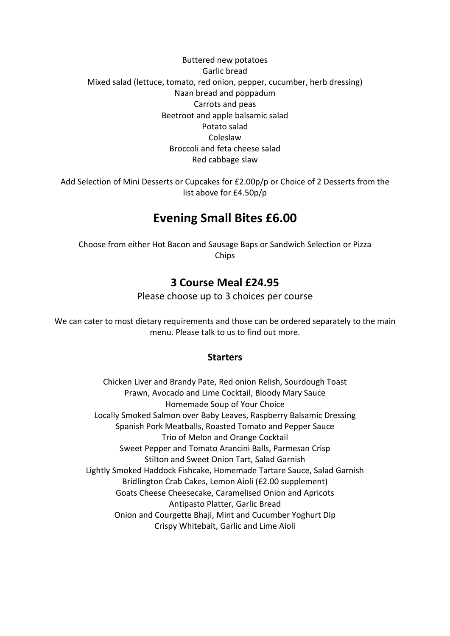#### Buttered new potatoes Garlic bread Mixed salad (lettuce, tomato, red onion, pepper, cucumber, herb dressing) Naan bread and poppadum Carrots and peas Beetroot and apple balsamic salad Potato salad Coleslaw Broccoli and feta cheese salad Red cabbage slaw

Add Selection of Mini Desserts or Cupcakes for £2.00p/p or Choice of 2 Desserts from the list above for £4.50p/p

# **Evening Small Bites £6.00**

Choose from either Hot Bacon and Sausage Baps or Sandwich Selection or Pizza Chips

### **3 Course Meal £24.95**

Please choose up to 3 choices per course

We can cater to most dietary requirements and those can be ordered separately to the main menu. Please talk to us to find out more.

### **Starters**

Chicken Liver and Brandy Pate, Red onion Relish, Sourdough Toast Prawn, Avocado and Lime Cocktail, Bloody Mary Sauce Homemade Soup of Your Choice Locally Smoked Salmon over Baby Leaves, Raspberry Balsamic Dressing Spanish Pork Meatballs, Roasted Tomato and Pepper Sauce Trio of Melon and Orange Cocktail Sweet Pepper and Tomato Arancini Balls, Parmesan Crisp Stilton and Sweet Onion Tart, Salad Garnish Lightly Smoked Haddock Fishcake, Homemade Tartare Sauce, Salad Garnish Bridlington Crab Cakes, Lemon Aioli (£2.00 supplement) Goats Cheese Cheesecake, Caramelised Onion and Apricots Antipasto Platter, Garlic Bread Onion and Courgette Bhaji, Mint and Cucumber Yoghurt Dip Crispy Whitebait, Garlic and Lime Aioli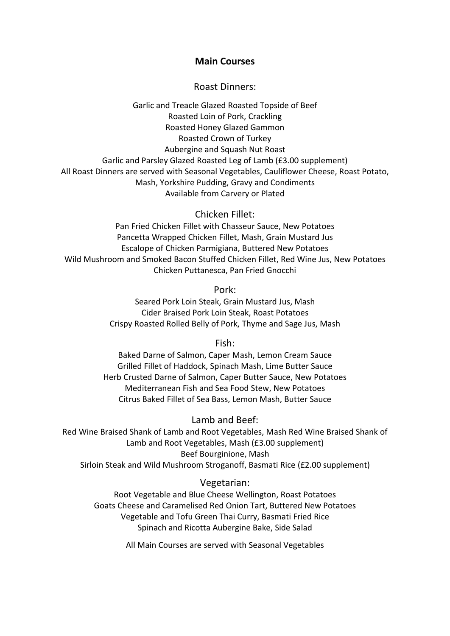#### **Main Courses**

#### Roast Dinners:

Garlic and Treacle Glazed Roasted Topside of Beef Roasted Loin of Pork, Crackling Roasted Honey Glazed Gammon Roasted Crown of Turkey Aubergine and Squash Nut Roast Garlic and Parsley Glazed Roasted Leg of Lamb (£3.00 supplement) All Roast Dinners are served with Seasonal Vegetables, Cauliflower Cheese, Roast Potato, Mash, Yorkshire Pudding, Gravy and Condiments Available from Carvery or Plated

#### Chicken Fillet:

Pan Fried Chicken Fillet with Chasseur Sauce, New Potatoes Pancetta Wrapped Chicken Fillet, Mash, Grain Mustard Jus Escalope of Chicken Parmigiana, Buttered New Potatoes Wild Mushroom and Smoked Bacon Stuffed Chicken Fillet, Red Wine Jus, New Potatoes Chicken Puttanesca, Pan Fried Gnocchi

Pork:

Seared Pork Loin Steak, Grain Mustard Jus, Mash Cider Braised Pork Loin Steak, Roast Potatoes Crispy Roasted Rolled Belly of Pork, Thyme and Sage Jus, Mash

Fish:

Baked Darne of Salmon, Caper Mash, Lemon Cream Sauce Grilled Fillet of Haddock, Spinach Mash, Lime Butter Sauce Herb Crusted Darne of Salmon, Caper Butter Sauce, New Potatoes Mediterranean Fish and Sea Food Stew, New Potatoes Citrus Baked Fillet of Sea Bass, Lemon Mash, Butter Sauce

#### Lamb and Beef:

Red Wine Braised Shank of Lamb and Root Vegetables, Mash Red Wine Braised Shank of Lamb and Root Vegetables, Mash (£3.00 supplement) Beef Bourginione, Mash Sirloin Steak and Wild Mushroom Stroganoff, Basmati Rice (£2.00 supplement)

#### Vegetarian:

Root Vegetable and Blue Cheese Wellington, Roast Potatoes Goats Cheese and Caramelised Red Onion Tart, Buttered New Potatoes Vegetable and Tofu Green Thai Curry, Basmati Fried Rice Spinach and Ricotta Aubergine Bake, Side Salad

All Main Courses are served with Seasonal Vegetables